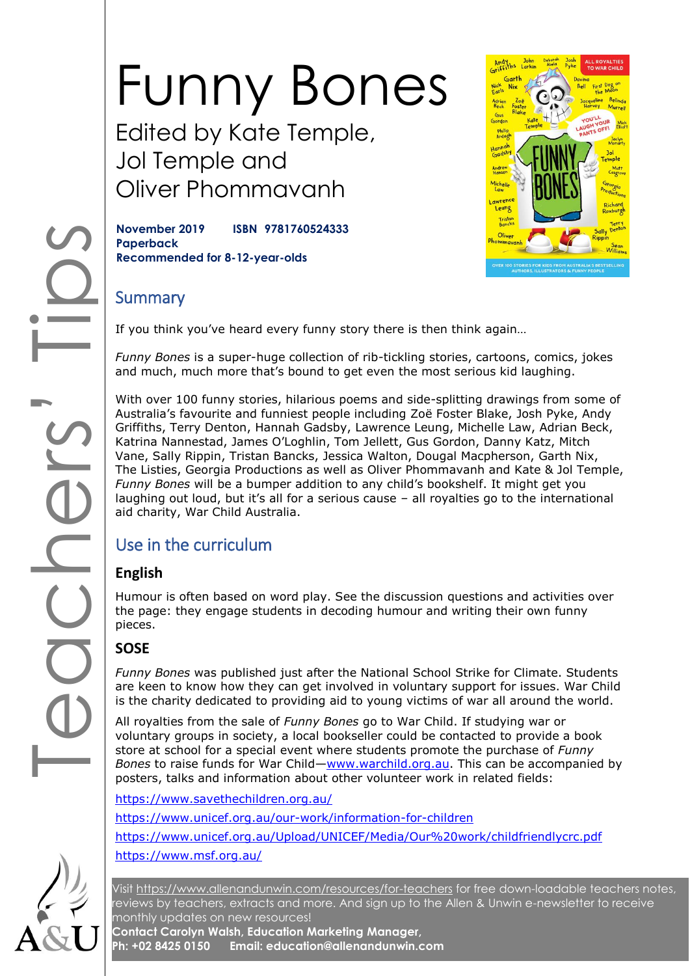# Funny Bones Edited by Kate Temple,

Jol Temple and Oliver Phommavanh

**November 2019 ISBN 9781760524333 Paperback Recommended for 8-12-year-olds**



#### **Summary**

If you think you've heard every funny story there is then think again…

*Funny Bones* is a super-huge collection of rib-tickling stories, cartoons, comics, jokes and much, much more that's bound to get even the most serious kid laughing.

With over 100 funny stories, hilarious poems and side-splitting drawings from some of Australia's favourite and funniest people including Zoë Foster Blake, Josh Pyke, Andy Griffiths, Terry Denton, Hannah Gadsby, Lawrence Leung, Michelle Law, Adrian Beck, Katrina Nannestad, James O'Loghlin, Tom Jellett, Gus Gordon, Danny Katz, Mitch Vane, Sally Rippin, Tristan Bancks, Jessica Walton, Dougal Macpherson, Garth Nix, The Listies, Georgia Productions as well as Oliver Phommavanh and Kate & Jol Temple, *Funny Bones* will be a bumper addition to any child's bookshelf. It might get you laughing out loud, but it's all for a serious cause – all royalties go to the international aid charity, War Child Australia.

### Use in the curriculum

#### **English**

Humour is often based on word play. See the discussion questions and activities over the page: they engage students in decoding humour and writing their own funny pieces.

#### **SOSE**

*Funny Bones* was published just after the National School Strike for Climate. Students are keen to know how they can get involved in voluntary support for issues. War Child is the charity dedicated to providing aid to young victims of war all around the world.

All royalties from the sale of *Funny Bones* go to War Child. If studying war or voluntary groups in society, a local bookseller could be contacted to provide a book store at school for a special event where students promote the purchase of *Funny Bones* to raise funds for War Child—[www.warchild.org.au.](http://www.warchild.org.au/) This can be accompanied by posters, talks and information about other volunteer work in related fields:

<https://www.savethechildren.org.au/> <https://www.unicef.org.au/our-work/information-for-children> <https://www.unicef.org.au/Upload/UNICEF/Media/Our%20work/childfriendlycrc.pdf> <https://www.msf.org.au/>

Visit<https://www.allenandunwin.com/resources/for-teachers> for free down-loadable teachers notes, reviews by teachers, extracts and more. And sign up to the Allen & Unwin e-newsletter to receive monthly updates on new resources!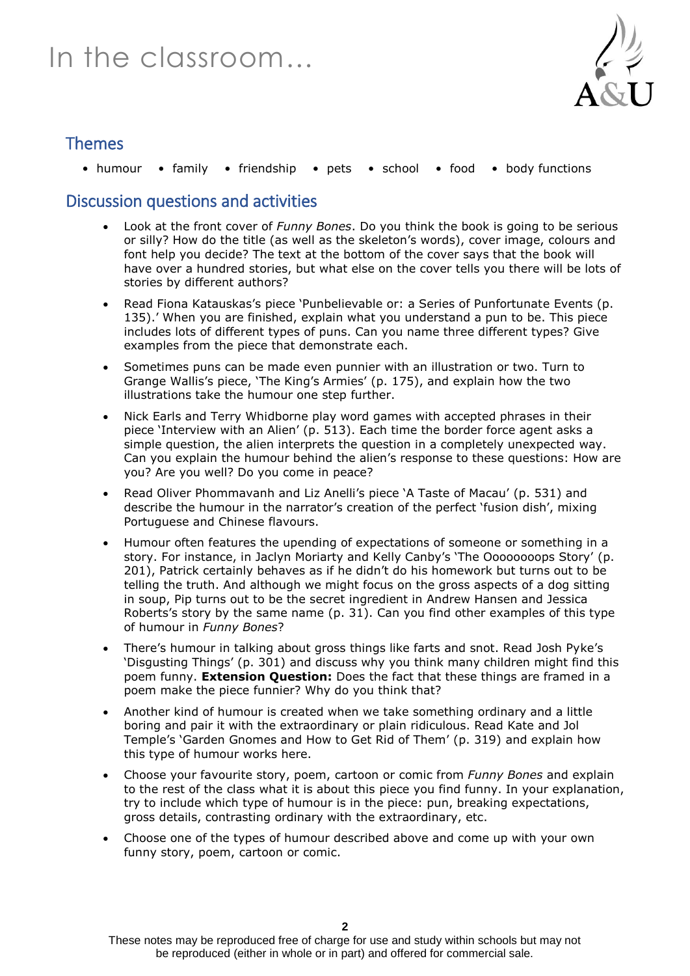## In the classroom…



#### Themes

• humour • family • friendship • pets • school • food • body functions

#### Discussion questions and activities

- Look at the front cover of *Funny Bones*. Do you think the book is going to be serious or silly? How do the title (as well as the skeleton's words), cover image, colours and font help you decide? The text at the bottom of the cover says that the book will have over a hundred stories, but what else on the cover tells you there will be lots of stories by different authors?
- Read Fiona Katauskas's piece 'Punbelievable or: a Series of Punfortunate Events (p. 135).' When you are finished, explain what you understand a pun to be. This piece includes lots of different types of puns. Can you name three different types? Give examples from the piece that demonstrate each.
- Sometimes puns can be made even punnier with an illustration or two. Turn to Grange Wallis's piece, 'The King's Armies' (p. 175), and explain how the two illustrations take the humour one step further.
- Nick Earls and Terry Whidborne play word games with accepted phrases in their piece 'Interview with an Alien' (p. 513). Each time the border force agent asks a simple question, the alien interprets the question in a completely unexpected way. Can you explain the humour behind the alien's response to these questions: How are you? Are you well? Do you come in peace?
- Read Oliver Phommavanh and Liz Anelli's piece 'A Taste of Macau' (p. 531) and describe the humour in the narrator's creation of the perfect 'fusion dish', mixing Portuguese and Chinese flavours.
- Humour often features the upending of expectations of someone or something in a story. For instance, in Jaclyn Moriarty and Kelly Canby's 'The Oooooooops Story' (p. 201), Patrick certainly behaves as if he didn't do his homework but turns out to be telling the truth. And although we might focus on the gross aspects of a dog sitting in soup, Pip turns out to be the secret ingredient in Andrew Hansen and Jessica Roberts's story by the same name (p. 31). Can you find other examples of this type of humour in *Funny Bones*?
- There's humour in talking about gross things like farts and snot. Read Josh Pyke's 'Disgusting Things' (p. 301) and discuss why you think many children might find this poem funny. **Extension Question:** Does the fact that these things are framed in a poem make the piece funnier? Why do you think that?
- Another kind of humour is created when we take something ordinary and a little boring and pair it with the extraordinary or plain ridiculous. Read Kate and Jol Temple's 'Garden Gnomes and How to Get Rid of Them' (p. 319) and explain how this type of humour works here.
- Choose your favourite story, poem, cartoon or comic from *Funny Bones* and explain to the rest of the class what it is about this piece you find funny. In your explanation, try to include which type of humour is in the piece: pun, breaking expectations, gross details, contrasting ordinary with the extraordinary, etc.
- Choose one of the types of humour described above and come up with your own funny story, poem, cartoon or comic.

These notes may be reproduced free of charge for use and study within schools but may not be reproduced (either in whole or in part) and offered for commercial sale.